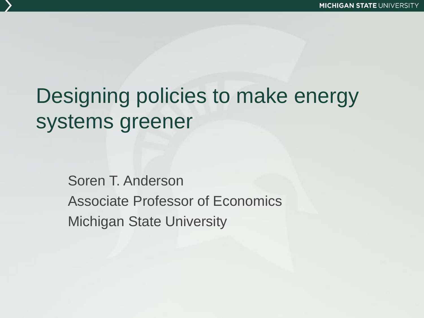# Designing policies to make energy systems greener

Soren T. Anderson Associate Professor of Economics Michigan State University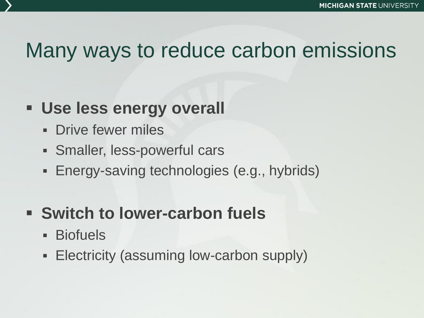## Many ways to reduce carbon emissions

#### **Use less energy overall**

- **Drive fewer miles**
- Smaller, less-powerful cars
- Energy-saving technologies (e.g., hybrids)

#### **Switch to lower-carbon fuels**

- Biofuels
- **Electricity (assuming low-carbon supply)**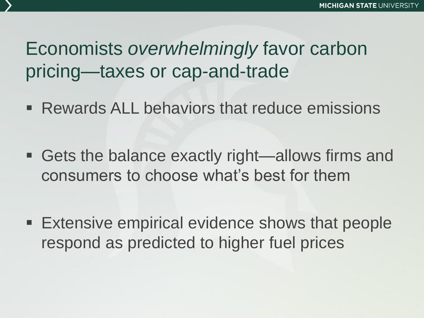### Economists *overwhelmingly* favor carbon pricing—taxes or cap-and-trade

- **Rewards ALL behaviors that reduce emissions**
- Gets the balance exactly right—allows firms and consumers to choose what's best for them
- **Extensive empirical evidence shows that people** respond as predicted to higher fuel prices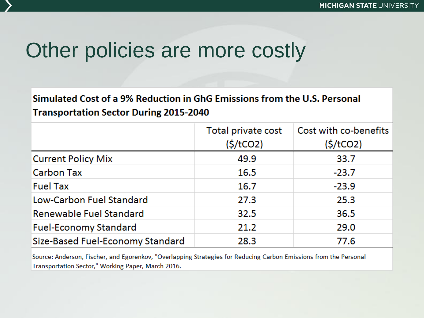## Other policies are more costly

#### Simulated Cost of a 9% Reduction in GhG Emissions from the U.S. Personal **Transportation Sector During 2015-2040**

|                                  | Total private cost | Cost with co-benefits |
|----------------------------------|--------------------|-----------------------|
|                                  | $(\frac{1}{2})$    | (§/tCO2)              |
| <b>Current Policy Mix</b>        | 49.9               | 33.7                  |
| <b>Carbon Tax</b>                | 16.5               | $-23.7$               |
| <b>Fuel Tax</b>                  | 16.7               | $-23.9$               |
| Low-Carbon Fuel Standard         | 27.3               | 25.3                  |
| Renewable Fuel Standard          | 32.5               | 36.5                  |
| <b>Fuel-Economy Standard</b>     | 21.2               | 29.0                  |
| Size-Based Fuel-Economy Standard | 28.3               | 77.6                  |

Source: Anderson, Fischer, and Egorenkov, "Overlapping Strategies for Reducing Carbon Emissions from the Personal Transportation Sector," Working Paper, March 2016.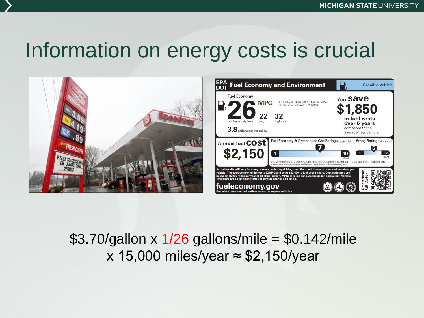## Information on energy costs is crucial



#### \$3.70/gallon x  $1/26$  gallons/mile = \$0.142/mile x 15,000 miles/year ≈ \$2,150/year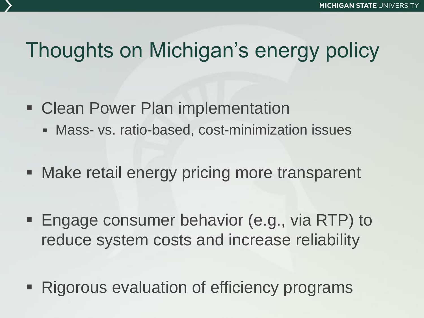# Thoughts on Michigan's energy policy

- **Examplementation Clean Power Plan implementation** 
	- Mass- vs. ratio-based, cost-minimization issues
- **Make retail energy pricing more transparent**
- **Engage consumer behavior (e.g., via RTP) to** reduce system costs and increase reliability
- Rigorous evaluation of efficiency programs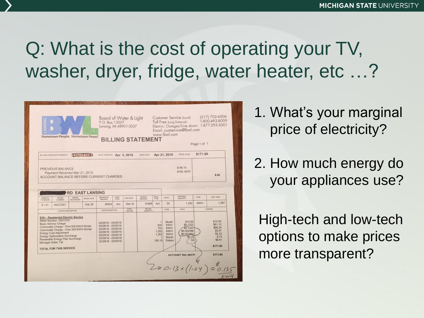#### Q: What is the cost of operating your TV, washer, dryer, fridge, water heater, etc ...?



1. What's your marginal price of electricity?

2. How much energy do your appliances use?

High-tech and low-tech options to make prices more transparent?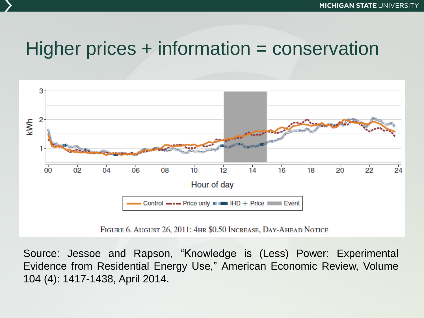#### Higher prices + information = conservation



Source: Jessoe and Rapson, "Knowledge is (Less) Power: Experimental Evidence from Residential Energy Use," American Economic Review, Volume 104 (4): 1417-1438, April 2014.